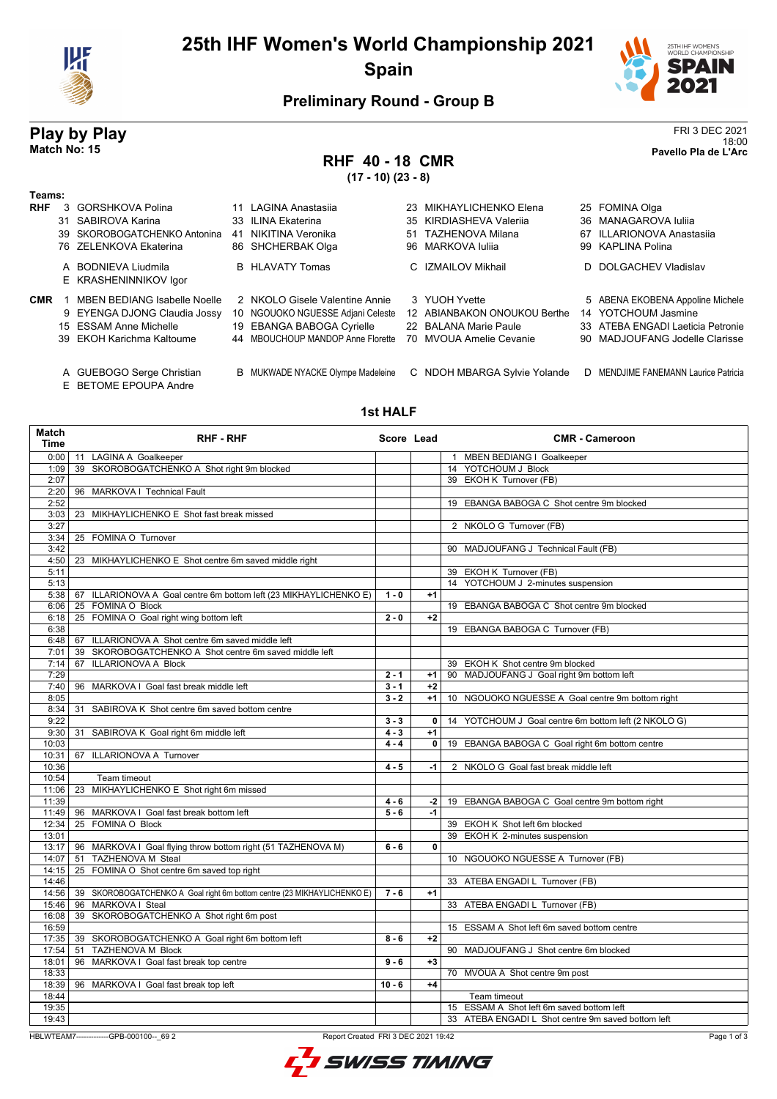

# **25th IHF Women's World Championship 2021 Spain**



18:00 **Match No: 15 Pavello Pla de L'Arc**

### **Preliminary Round - Group B**

# **Play by Play**<br>Match No: 15<br>Pavello Pla de L'Arc

# **RHF 40 - 18 CMR**

**(17 - 10) (23 - 8)**

| Teams:     |    |                                                    |    |                                   |    |                              |  |                                      |
|------------|----|----------------------------------------------------|----|-----------------------------------|----|------------------------------|--|--------------------------------------|
| <b>RHF</b> | 3  | GORSHKOVA Polina                                   |    | 11 LAGINA Anastasija              |    | 23 MIKHAYLICHENKO Elena      |  | 25 FOMINA Olga                       |
|            |    | 31 SABIROVA Karina                                 |    | 33 ILINA Ekaterina                |    | 35 KIRDIASHEVA Valerija      |  | 36 MANAGAROVA Iulija                 |
|            | 39 | SKOROBOGATCHENKO Antonina                          | 41 | NIKITINA Veronika                 | 51 | TAZHENOVA Milana             |  | 67 ILLARIONOVA Anastasija            |
|            |    | 76 ZELENKOVA Ekaterina                             |    | 86 SHCHERBAK Olga                 |    | 96 MARKOVA Iulija            |  | 99 KAPLINA Polina                    |
|            |    | A BODNIEVA Liudmila                                |    | <b>B</b> HLAVATY Tomas            |    | C IZMAILOV Mikhail           |  | D DOLGACHEV Vladislav                |
|            |    | E KRASHENINNIKOV Igor                              |    |                                   |    |                              |  |                                      |
| <b>CMR</b> |    | <b>MBEN BEDIANG Isabelle Noelle</b>                |    | 2 NKOLO Gisele Valentine Annie    |    | 3 YUOH Yvette                |  | 5 ABENA EKOBENA Appoline Michele     |
|            |    | 9 EYENGA DJONG Claudia Jossy                       |    | 10 NGOUOKO NGUESSE Adjani Celeste |    | 12 ABIANBAKON ONOUKOU Berthe |  | 14 YOTCHOUM Jasmine                  |
|            |    | 15 ESSAM Anne Michelle                             |    | 19 EBANGA BABOGA Cyrielle         |    | 22 BALANA Marie Paule        |  | 33 ATEBA ENGADI Laeticia Petronie    |
|            |    | 39 EKOH Karichma Kaltoume                          |    | 44 MBOUCHOUP MANDOP Anne Florette |    | 70 MVOUA Amelie Cevanie      |  | 90 MADJOUFANG Jodelle Clarisse       |
|            |    | A GUEBOGO Serge Christian<br>E BETOME EPOUPA Andre |    | B MUKWADE NYACKE Olympe Madeleine |    | C NDOH MBARGA Sylvie Yolande |  | D MENDJIME FANEMANN Laurice Patricia |

#### **1st HALF**

| <b>Match</b><br><b>Time</b> | <b>RHF-RHF</b>                                                          | Score Lead |              | <b>CMR - Cameroon</b>                                     |
|-----------------------------|-------------------------------------------------------------------------|------------|--------------|-----------------------------------------------------------|
| 0:00                        | 11 LAGINA A Goalkeeper                                                  |            |              | 1 MBEN BEDIANG I Goalkeeper                               |
| 1:09                        | 39 SKOROBOGATCHENKO A Shot right 9m blocked                             |            |              | 14 YOTCHOUM J Block                                       |
| 2:07                        |                                                                         |            |              | 39 EKOH K Turnover (FB)                                   |
| 2:20                        | 96 MARKOVA I Technical Fault                                            |            |              |                                                           |
| 2:52                        |                                                                         |            |              | 19 EBANGA BABOGA C Shot centre 9m blocked                 |
| 3:03                        | 23 MIKHAYLICHENKO E Shot fast break missed                              |            |              |                                                           |
| 3:27                        |                                                                         |            |              | 2 NKOLO G Turnover (FB)                                   |
| 3:34                        | 25 FOMINA O Turnover                                                    |            |              |                                                           |
| 3:42                        |                                                                         |            |              | 90 MADJOUFANG J Technical Fault (FB)                      |
| 4:50                        | 23 MIKHAYLICHENKO E Shot centre 6m saved middle right                   |            |              |                                                           |
| 5:11                        |                                                                         |            |              | 39 EKOH K Turnover (FB)                                   |
| 5:13                        |                                                                         |            |              | 14 YOTCHOUM J 2-minutes suspension                        |
| 5:38                        | 67 ILLARIONOVA A Goal centre 6m bottom left (23 MIKHAYLICHENKO E)       | $1 - 0$    | $+1$         |                                                           |
| 6:06                        | 25 FOMINA O Block                                                       |            |              | 19 EBANGA BABOGA C Shot centre 9m blocked                 |
| 6:18                        | 25 FOMINA O Goal right wing bottom left                                 | $2 - 0$    | $+2$         |                                                           |
| 6:38                        |                                                                         |            |              | 19 EBANGA BABOGA C Turnover (FB)                          |
| 6:48                        | 67 ILLARIONOVA A Shot centre 6m saved middle left                       |            |              |                                                           |
| 7:01                        | SKOROBOGATCHENKO A Shot centre 6m saved middle left<br>39               |            |              |                                                           |
| 7:14                        | <b>ILLARIONOVA A Block</b><br>67                                        |            |              | 39 EKOH K Shot centre 9m blocked                          |
| 7:29                        |                                                                         | $2 - 1$    | $+1$         | 90 MADJOUFANG J Goal right 9m bottom left                 |
| 7:40                        | 96 MARKOVA I Goal fast break middle left                                | $3 - 1$    | $+2$         |                                                           |
| 8:05                        |                                                                         | $3 - 2$    | $+1$         | 10 NGOUOKO NGUESSE A Goal centre 9m bottom right          |
| 8:34                        | SABIROVA K Shot centre 6m saved bottom centre<br>31                     |            |              |                                                           |
| 9:22                        |                                                                         | $3 - 3$    | $\mathbf{0}$ | 14 YOTCHOUM J Goal centre 6m bottom left (2 NKOLO G)      |
| 9:30                        | SABIROVA K Goal right 6m middle left<br>31                              | $4 - 3$    | $+1$         |                                                           |
| 10:03                       |                                                                         | $4 - 4$    | $\mathbf 0$  | 19 EBANGA BABOGA C Goal right 6m bottom centre            |
| 10:31                       | 67 ILLARIONOVA A Turnover                                               |            |              |                                                           |
| 10:36                       |                                                                         | $4 - 5$    | -1           | 2 NKOLO G Goal fast break middle left                     |
| 10:54                       | Team timeout                                                            |            |              |                                                           |
| 11:06                       | MIKHAYLICHENKO E Shot right 6m missed<br>23                             |            |              |                                                           |
| 11:39                       |                                                                         | 4 - 6      | $-2$         | 19 EBANGA BABOGA C Goal centre 9m bottom right            |
| 11:49                       | 96 MARKOVA I Goal fast break bottom left                                | $5 - 6$    | $-1$         |                                                           |
| 12:34                       | 25 FOMINA O Block                                                       |            |              | 39 EKOH K Shot left 6m blocked                            |
| 13:01                       |                                                                         |            |              | 39 EKOH K 2-minutes suspension                            |
| 13:17                       | 96 MARKOVA I Goal flying throw bottom right (51 TAZHENOVA M)            | $6 - 6$    | $\mathbf 0$  |                                                           |
| 14:07                       | <b>TAZHENOVA M Steal</b><br>51                                          |            |              | 10 NGOUOKO NGUESSE A Turnover (FB)                        |
| 14:15                       | FOMINA O Shot centre 6m saved top right<br>25                           |            |              |                                                           |
| 14:46                       |                                                                         |            |              | 33 ATEBA ENGADI L Turnover (FB)                           |
| 14:56                       | 39 SKOROBOGATCHENKO A Goal right 6m bottom centre (23 MIKHAYLICHENKO E) | $7 - 6$    | $+1$         |                                                           |
| 15:46                       | 96 MARKOVA I Steal                                                      |            |              | 33 ATEBA ENGADI L Turnover (FB)                           |
| 16:08                       | 39 SKOROBOGATCHENKO A Shot right 6m post                                |            |              |                                                           |
| 16:59                       |                                                                         |            |              | 15 ESSAM A Shot left 6m saved bottom centre               |
| 17:35                       | 39 SKOROBOGATCHENKO A Goal right 6m bottom left                         | $8 - 6$    | $+2$         |                                                           |
| 17:54                       | <b>TAZHENOVA M Block</b><br>51                                          |            |              | 90 MADJOUFANG J Shot centre 6m blocked                    |
| 18:01                       | 96 MARKOVA I Goal fast break top centre                                 | $9 - 6$    | $+3$         |                                                           |
| 18:33                       | 96 MARKOVA I Goal fast break top left                                   | $10 - 6$   | $+4$         | 70 MVOUA A Shot centre 9m post                            |
| 18:39                       |                                                                         |            |              |                                                           |
| 18:44<br>19:35              |                                                                         |            |              | Team timeout<br>15 ESSAM A Shot left 6m saved bottom left |
| 19:43                       |                                                                         |            |              | 33 ATEBA ENGADI L Shot centre 9m saved bottom left        |
|                             |                                                                         |            |              |                                                           |

HBLWTEAM7-------------GPB-000100--\_69 2 Report Created FRI 3 DEC 2021 19:42

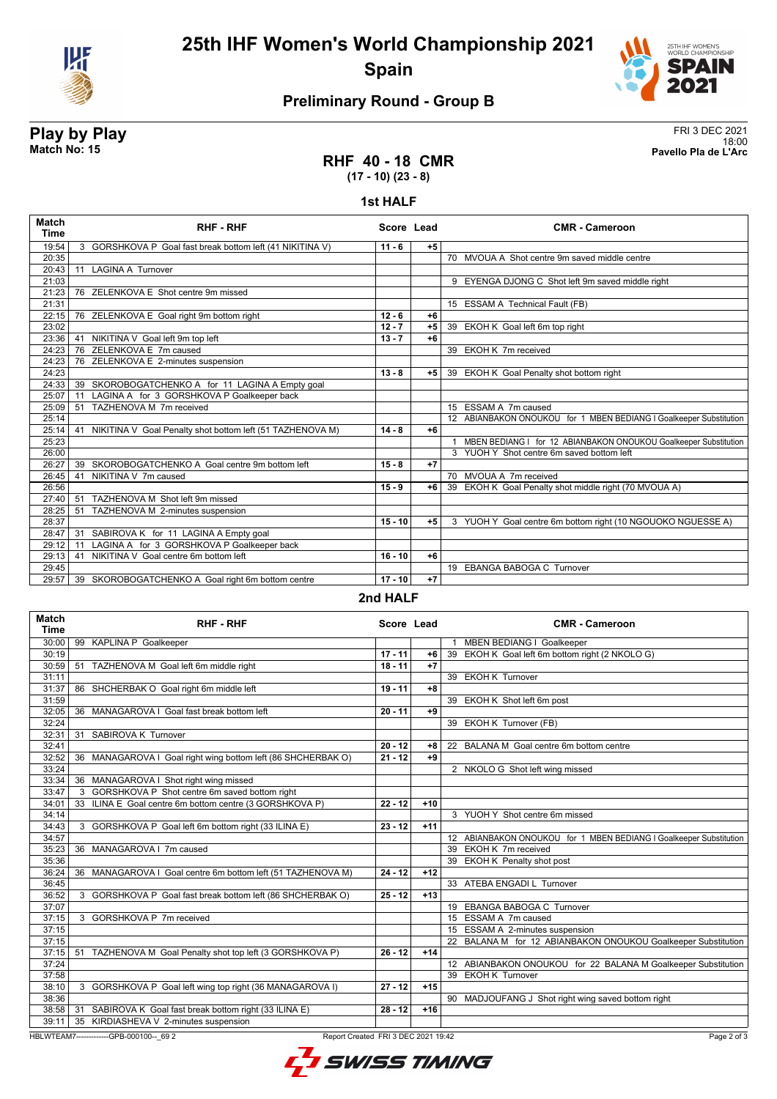



## **Preliminary Round - Group B**

**Play by Play**<br>Match No: 15<br>Pavello Pla de L'Arc 18:00 **Match No: 15 Pavello Pla de L'Arc**

### **RHF 40 - 18 CMR (17 - 10) (23 - 8)**

#### **1st HALF**

| <b>Time</b> | <b>RHF - RHF</b>                                             | Score Lead |      | <b>CMR - Cameroon</b>                                              |
|-------------|--------------------------------------------------------------|------------|------|--------------------------------------------------------------------|
| 19:54       | 3 GORSHKOVA P Goal fast break bottom left (41 NIKITINA V)    | $11 - 6$   | $+5$ |                                                                    |
| 20:35       |                                                              |            |      | 70 MVOUA A Shot centre 9m saved middle centre                      |
| 20:43       | <b>LAGINA A Turnover</b><br>11                               |            |      |                                                                    |
| 21:03       |                                                              |            |      | 9 EYENGA DJONG C Shot left 9m saved middle right                   |
| 21:23       | 76 ZELENKOVA E Shot centre 9m missed                         |            |      |                                                                    |
| 21:31       |                                                              |            |      | 15 ESSAM A Technical Fault (FB)                                    |
| 22:15       | 76 ZELENKOVA E Goal right 9m bottom right                    | $12 - 6$   | $+6$ |                                                                    |
| 23:02       |                                                              | $12 - 7$   | $+5$ | 39 EKOH K Goal left 6m top right                                   |
| 23:36       | 41 NIKITINA V Goal left 9m top left                          | $13 - 7$   | $+6$ |                                                                    |
| 24:23       | 76 ZELENKOVA E 7m caused                                     |            |      | 39 EKOH K 7m received                                              |
| 24:23       | 76 ZELENKOVA E 2-minutes suspension                          |            |      |                                                                    |
| 24:23       |                                                              | $13 - 8$   | $+5$ | 39 EKOH K Goal Penalty shot bottom right                           |
| 24:33       | 39 SKOROBOGATCHENKO A for 11 LAGINA A Empty goal             |            |      |                                                                    |
| 25:07       | LAGINA A for 3 GORSHKOVA P Goalkeeper back<br>11             |            |      |                                                                    |
| 25:09       | TAZHENOVA M 7m received<br>51                                |            |      | 15 ESSAM A 7m caused                                               |
| 25:14       |                                                              |            |      | 12 ABIANBAKON ONOUKOU for 1 MBEN BEDIANG I Goalkeeper Substitution |
| 25:14       | 41 NIKITINA V Goal Penalty shot bottom left (51 TAZHENOVA M) | $14 - 8$   | $+6$ |                                                                    |
| 25:23       |                                                              |            |      | MBEN BEDIANG I for 12 ABIANBAKON ONOUKOU Goalkeeper Substitution   |
| 26:00       |                                                              |            |      | 3 YUOH Y Shot centre 6m saved bottom left                          |
| 26:27       | 39 SKOROBOGATCHENKO A Goal centre 9m bottom left             | $15 - 8$   | $+7$ |                                                                    |
| 26:45       | NIKITINA V 7m caused<br>41                                   |            |      | 70 MVOUA A 7m received                                             |
| 26:56       |                                                              | $15 - 9$   | $+6$ | 39 EKOH K Goal Penalty shot middle right (70 MVOUA A)              |
| 27:40       | TAZHENOVA M Shot left 9m missed<br>51                        |            |      |                                                                    |
| 28:25       | 51<br>TAZHENOVA M 2-minutes suspension                       |            |      |                                                                    |
| 28:37       |                                                              | $15 - 10$  | $+5$ | 3 YUOH Y Goal centre 6m bottom right (10 NGOUOKO NGUESSE A)        |
| 28:47       | 31 SABIROVA K for 11 LAGINA A Empty goal                     |            |      |                                                                    |
| 29:12       | LAGINA A for 3 GORSHKOVA P Goalkeeper back<br>11             |            |      |                                                                    |
| 29:13       | NIKITINA V Goal centre 6m bottom left<br>41                  | $16 - 10$  | $+6$ |                                                                    |
| 29:45       |                                                              |            |      | 19 EBANGA BABOGA C Turnover                                        |
| 29:57       | 39 SKOROBOGATCHENKO A Goal right 6m bottom centre            | $17 - 10$  | $+7$ |                                                                    |

#### **2nd HALF**

| Match<br><b>Time</b>                                                                           | <b>RHF - RHF</b>                                               | Score Lead |       | <b>CMR - Cameroon</b>                                              |  |
|------------------------------------------------------------------------------------------------|----------------------------------------------------------------|------------|-------|--------------------------------------------------------------------|--|
| 30:00                                                                                          | 99 KAPLINA P Goalkeeper                                        |            |       | 1 MBEN BEDIANG I Goalkeeper                                        |  |
| 30:19                                                                                          |                                                                | $17 - 11$  | $+6$  | 39 EKOH K Goal left 6m bottom right (2 NKOLO G)                    |  |
| 30:59                                                                                          | 51 TAZHENOVA M Goal left 6m middle right                       | $18 - 11$  | $+7$  |                                                                    |  |
| 31:11                                                                                          |                                                                |            |       | 39 EKOH K Turnover                                                 |  |
| 31:37                                                                                          | 86 SHCHERBAK O Goal right 6m middle left                       | $19 - 11$  | $+8$  |                                                                    |  |
| 31:59                                                                                          |                                                                |            |       | 39 EKOH K Shot left 6m post                                        |  |
| 32:05                                                                                          | 36 MANAGAROVA I Goal fast break bottom left                    | $20 - 11$  | $+9$  |                                                                    |  |
| 32:24                                                                                          |                                                                |            |       | 39 EKOH K Turnover (FB)                                            |  |
| 32:31                                                                                          | SABIROVA K Turnover<br>31                                      |            |       |                                                                    |  |
| 32:41                                                                                          |                                                                | $20 - 12$  | +8    | 22 BALANA M Goal centre 6m bottom centre                           |  |
| 32:52                                                                                          | 36 MANAGAROVA I Goal right wing bottom left (86 SHCHERBAK O)   | $21 - 12$  | $+9$  |                                                                    |  |
| 33:24                                                                                          |                                                                |            |       | 2 NKOLO G Shot left wing missed                                    |  |
| 33:34                                                                                          | 36 MANAGAROVA I Shot right wing missed                         |            |       |                                                                    |  |
| 33:47                                                                                          | 3 GORSHKOVA P Shot centre 6m saved bottom right                |            |       |                                                                    |  |
| 34:01                                                                                          | 33 ILINA E Goal centre 6m bottom centre (3 GORSHKOVA P)        | $22 - 12$  | $+10$ |                                                                    |  |
| 34:14                                                                                          |                                                                |            |       | 3 YUOH Y Shot centre 6m missed                                     |  |
| 34:43                                                                                          | 3 GORSHKOVA P Goal left 6m bottom right (33 ILINA E)           | $23 - 12$  | $+11$ |                                                                    |  |
| 34:57                                                                                          |                                                                |            |       | 12 ABIANBAKON ONOUKOU for 1 MBEN BEDIANG I Goalkeeper Substitution |  |
| 35:23                                                                                          | 36 MANAGAROVA I 7m caused                                      |            |       | 39 EKOH K 7m received                                              |  |
| 35:36                                                                                          |                                                                |            |       | 39 EKOH K Penalty shot post                                        |  |
| 36:24                                                                                          | MANAGAROVA I Goal centre 6m bottom left (51 TAZHENOVA M)<br>36 | $24 - 12$  | $+12$ |                                                                    |  |
| 36:45                                                                                          |                                                                |            |       | 33 ATEBA ENGADI L Turnover                                         |  |
| 36:52                                                                                          | 3 GORSHKOVA P Goal fast break bottom left (86 SHCHERBAK O)     | $25 - 12$  | $+13$ |                                                                    |  |
| 37:07                                                                                          |                                                                |            |       | 19 EBANGA BABOGA C Turnover                                        |  |
| 37:15                                                                                          | 3 GORSHKOVA P 7m received                                      |            |       | 15 ESSAM A 7m caused                                               |  |
| 37:15                                                                                          |                                                                |            |       | 15 ESSAM A 2-minutes suspension                                    |  |
| 37:15                                                                                          |                                                                |            |       | 22 BALANA M for 12 ABIANBAKON ONOUKOU Goalkeeper Substitution      |  |
| 37:15                                                                                          | 51 TAZHENOVA M Goal Penalty shot top left (3 GORSHKOVA P)      | $26 - 12$  | $+14$ |                                                                    |  |
| 37:24                                                                                          |                                                                |            |       | 12 ABIANBAKON ONOUKOU for 22 BALANA M Goalkeeper Substitution      |  |
| 37:58                                                                                          |                                                                |            |       | 39 EKOH K Turnover                                                 |  |
| 38:10                                                                                          | 3 GORSHKOVA P Goal left wing top right (36 MANAGAROVA I)       | $27 - 12$  | $+15$ |                                                                    |  |
| 38:36                                                                                          |                                                                |            |       | 90 MADJOUFANG J Shot right wing saved bottom right                 |  |
| 38:58                                                                                          | 31 SABIROVA K Goal fast break bottom right (33 ILINA E)        | $28 - 12$  | $+16$ |                                                                    |  |
| 39:11                                                                                          | 35 KIRDIASHEVA V 2-minutes suspension                          |            |       |                                                                    |  |
| HBLWTEAM7--------------GPB-000100-- 69 2<br>Report Created FRI 3 DEC 2021 19:42<br>Page 2 of 3 |                                                                |            |       |                                                                    |  |